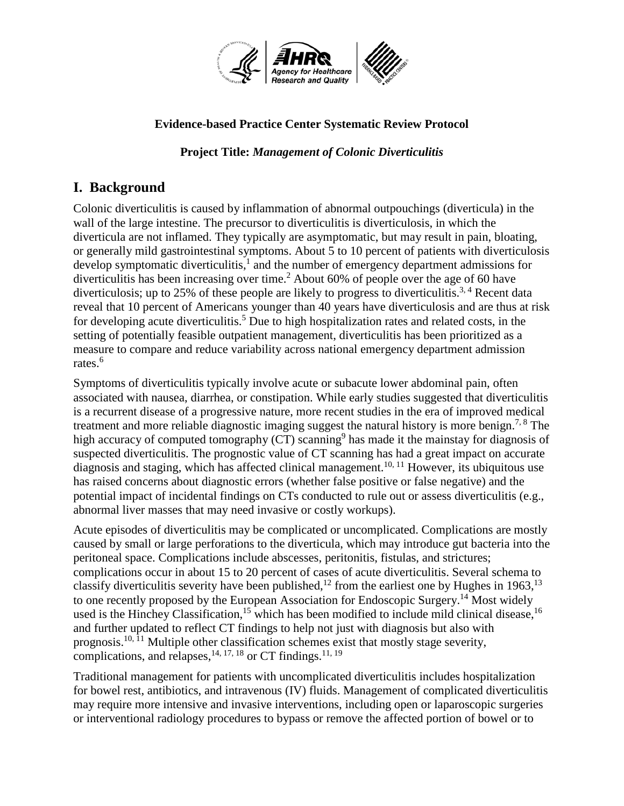

#### **Evidence-based Practice Center Systematic Review Protocol**

**Project Title:** *Management of Colonic Diverticulitis*

# **I. Background**

Colonic diverticulitis is caused by inflammation of abnormal outpouchings (diverticula) in the wall of the large intestine. The precursor to diverticulitis is diverticulosis, in which the diverticula are not inflamed. They typically are asymptomatic, but may result in pain, bloating, or generally mild gastrointestinal symptoms. About 5 to 10 percent of patients with diverticulosis develop symptomatic diverticulitis,<sup>1</sup> and the number of emergency department admissions for diverticulitis has been increasing over time.<sup>2</sup> About 60% of people over the age of 60 have diverticulosis; up to 25% of these people are likely to progress to diverticulitis.<sup>3, 4</sup> Recent data reveal that 10 percent of Americans younger than 40 years have diverticulosis and are thus at risk for developing acute diverticulitis. <sup>5</sup> Due to high hospitalization rates and related costs, in the setting of potentially feasible outpatient management, diverticulitis has been prioritized as a measure to compare and reduce variability across national emergency department admission rates.<sup>6</sup>

Symptoms of diverticulitis typically involve acute or subacute lower abdominal pain, often associated with nausea, diarrhea, or constipation. While early studies suggested that diverticulitis is a recurrent disease of a progressive nature, more recent studies in the era of improved medical treatment and more reliable diagnostic imaging suggest the natural history is more benign.<sup>7, 8</sup> The high accuracy of computed tomography  $(CT)$  scanning<sup>9</sup> has made it the mainstay for diagnosis of suspected diverticulitis. The prognostic value of CT scanning has had a great impact on accurate diagnosis and staging, which has affected clinical management.<sup>10, 11</sup> However, its ubiquitous use has raised concerns about diagnostic errors (whether false positive or false negative) and the potential impact of incidental findings on CTs conducted to rule out or assess diverticulitis (e.g., abnormal liver masses that may need invasive or costly workups).

Acute episodes of diverticulitis may be complicated or uncomplicated. Complications are mostly caused by small or large perforations to the diverticula, which may introduce gut bacteria into the peritoneal space. Complications include abscesses, peritonitis, fistulas, and strictures; complications occur in about 15 to 20 percent of cases of acute diverticulitis. Several schema to classify diverticulitis severity have been published,<sup>12</sup> from the earliest one by Hughes in 1963,<sup>13</sup> to one recently proposed by the European Association for Endoscopic Surgery.<sup>14</sup> Most widely used is the Hinchey Classification,<sup>15</sup> which has been modified to include mild clinical disease,<sup>16</sup> and further updated to reflect CT findings to help not just with diagnosis but also with prognosis.10, 11 Multiple other classification schemes exist that mostly stage severity, complications, and relapses,  $^{14, 17, 18}$  or CT findings.  $^{11, 19}$ 

Traditional management for patients with uncomplicated diverticulitis includes hospitalization for bowel rest, antibiotics, and intravenous (IV) fluids. Management of complicated diverticulitis may require more intensive and invasive interventions, including open or laparoscopic surgeries or interventional radiology procedures to bypass or remove the affected portion of bowel or to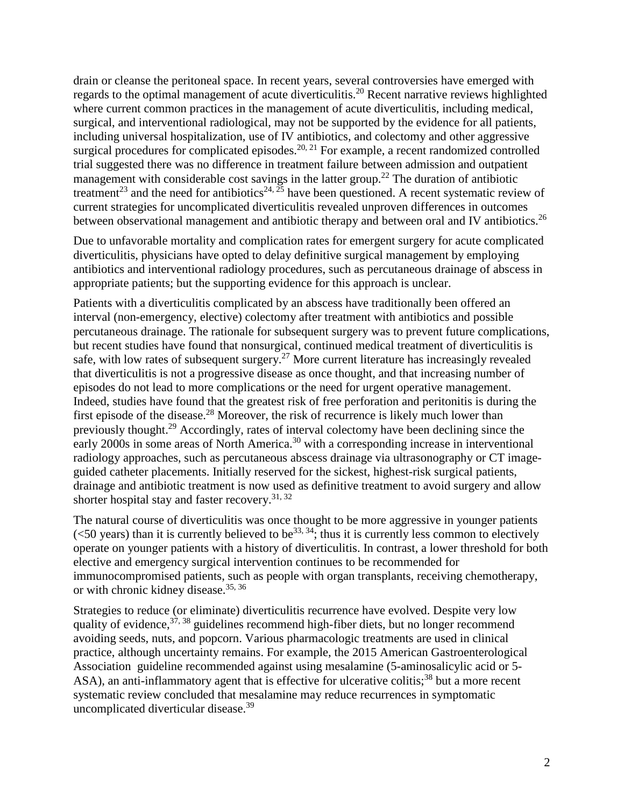drain or cleanse the peritoneal space. In recent years, several controversies have emerged with regards to the optimal management of acute diverticulitis.<sup>20</sup> Recent narrative reviews highlighted where current common practices in the management of acute diverticulitis, including medical, surgical, and interventional radiological, may not be supported by the evidence for all patients, including universal hospitalization, use of IV antibiotics, and colectomy and other aggressive surgical procedures for complicated episodes.<sup>20, 21</sup> For example, a recent randomized controlled trial suggested there was no difference in treatment failure between admission and outpatient management with considerable cost savings in the latter group.<sup>22</sup> The duration of antibiotic treatment<sup>23</sup> and the need for antibiotics<sup>24,  $\frac{25}{3}$ </sup> have been questioned. A recent systematic review of current strategies for uncomplicated diverticulitis revealed unproven differences in outcomes between observational management and antibiotic therapy and between oral and IV antibiotics.<sup>26</sup>

Due to unfavorable mortality and complication rates for emergent surgery for acute complicated diverticulitis, physicians have opted to delay definitive surgical management by employing antibiotics and interventional radiology procedures, such as percutaneous drainage of abscess in appropriate patients; but the supporting evidence for this approach is unclear.

Patients with a diverticulitis complicated by an abscess have traditionally been offered an interval (non-emergency, elective) colectomy after treatment with antibiotics and possible percutaneous drainage. The rationale for subsequent surgery was to prevent future complications, but recent studies have found that nonsurgical, continued medical treatment of diverticulitis is safe, with low rates of subsequent surgery.<sup>27</sup> More current literature has increasingly revealed that diverticulitis is not a progressive disease as once thought, and that increasing number of episodes do not lead to more complications or the need for urgent operative management. Indeed, studies have found that the greatest risk of free perforation and peritonitis is during the first episode of the disease.<sup>28</sup> Moreover, the risk of recurrence is likely much lower than previously thought.<sup>29</sup> Accordingly, rates of interval colectomy have been declining since the early 2000s in some areas of North America.<sup>30</sup> with a corresponding increase in interventional radiology approaches, such as percutaneous abscess drainage via ultrasonography or CT imageguided catheter placements. Initially reserved for the sickest, highest-risk surgical patients, drainage and antibiotic treatment is now used as definitive treatment to avoid surgery and allow shorter hospital stay and faster recovery.<sup>31, 32</sup>

The natural course of diverticulitis was once thought to be more aggressive in younger patients ( $\leq$ 50 years) than it is currently believed to be<sup>33, 34</sup>; thus it is currently less common to electively operate on younger patients with a history of diverticulitis. In contrast, a lower threshold for both elective and emergency surgical intervention continues to be recommended for immunocompromised patients, such as people with organ transplants, receiving chemotherapy, or with chronic kidney disease.35, 36

Strategies to reduce (or eliminate) diverticulitis recurrence have evolved. Despite very low quality of evidence,  $37, 38$  guidelines recommend high-fiber diets, but no longer recommend avoiding seeds, nuts, and popcorn. Various pharmacologic treatments are used in clinical practice, although uncertainty remains. For example, the 2015 American Gastroenterological Association guideline recommended against using mesalamine (5-aminosalicylic acid or 5- ASA), an anti-inflammatory agent that is effective for ulcerative colitis;<sup>38</sup> but a more recent systematic review concluded that mesalamine may reduce recurrences in symptomatic uncomplicated diverticular disease.<sup>39</sup>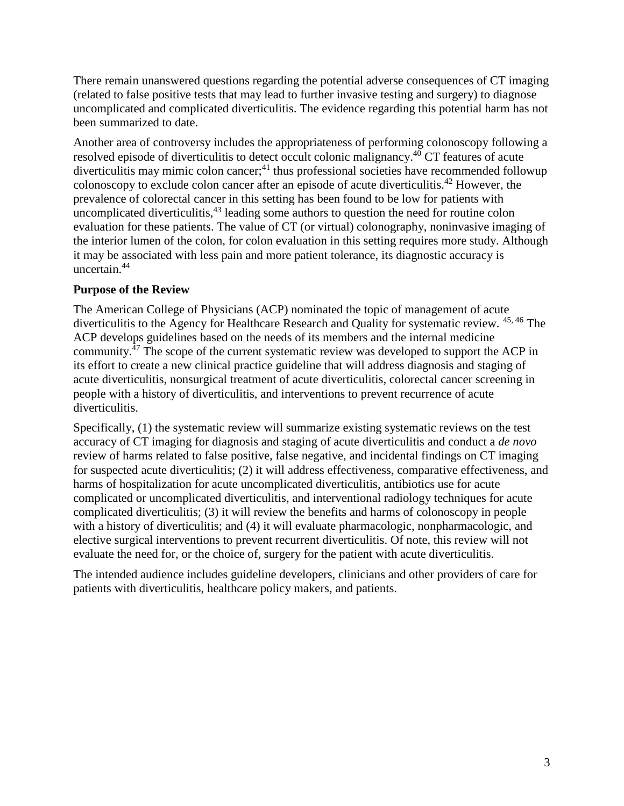There remain unanswered questions regarding the potential adverse consequences of CT imaging (related to false positive tests that may lead to further invasive testing and surgery) to diagnose uncomplicated and complicated diverticulitis. The evidence regarding this potential harm has not been summarized to date.

Another area of controversy includes the appropriateness of performing colonoscopy following a resolved episode of diverticulitis to detect occult colonic malignancy.40 CT features of acute  $\mu$  diverticulitis may mimic colon cancer;<sup>41</sup> thus professional societies have recommended followup colonoscopy to exclude colon cancer after an episode of acute diverticulitis.<sup>42</sup> However, the prevalence of colorectal cancer in this setting has been found to be low for patients with uncomplicated diverticulitis, $43$  leading some authors to question the need for routine colon evaluation for these patients. The value of CT (or virtual) colonography, noninvasive imaging of the interior lumen of the colon, for colon evaluation in this setting requires more study. Although it may be associated with less pain and more patient tolerance, its diagnostic accuracy is uncertain.<sup>44</sup>

#### **Purpose of the Review**

The American College of Physicians (ACP) nominated the topic of management of acute diverticulitis to the Agency for Healthcare Research and Quality for systematic review. 45, 46 The ACP develops guidelines based on the needs of its members and the internal medicine community.47 The scope of the current systematic review was developed to support the ACP in its effort to create a new clinical practice guideline that will address diagnosis and staging of acute diverticulitis, nonsurgical treatment of acute diverticulitis, colorectal cancer screening in people with a history of diverticulitis, and interventions to prevent recurrence of acute diverticulitis.

Specifically, (1) the systematic review will summarize existing systematic reviews on the test accuracy of CT imaging for diagnosis and staging of acute diverticulitis and conduct a *de novo* review of harms related to false positive, false negative, and incidental findings on CT imaging for suspected acute diverticulitis; (2) it will address effectiveness, comparative effectiveness, and harms of hospitalization for acute uncomplicated diverticulitis, antibiotics use for acute complicated or uncomplicated diverticulitis, and interventional radiology techniques for acute complicated diverticulitis; (3) it will review the benefits and harms of colonoscopy in people with a history of diverticulitis; and (4) it will evaluate pharmacologic, nonpharmacologic, and elective surgical interventions to prevent recurrent diverticulitis. Of note, this review will not evaluate the need for, or the choice of, surgery for the patient with acute diverticulitis.

The intended audience includes guideline developers, clinicians and other providers of care for patients with diverticulitis, healthcare policy makers, and patients.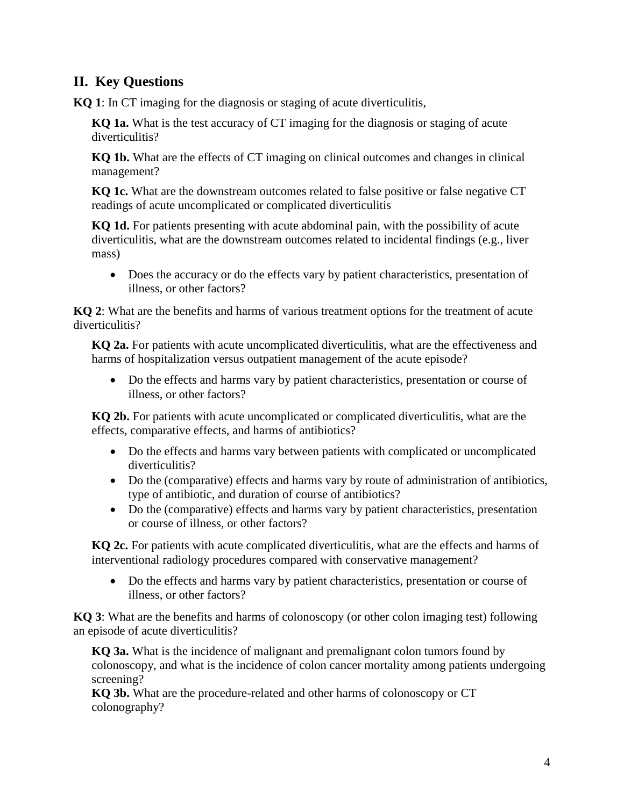# **II. Key Questions**

**KQ 1**: In CT imaging for the diagnosis or staging of acute diverticulitis,

**KQ 1a.** What is the test accuracy of CT imaging for the diagnosis or staging of acute diverticulitis?

**KQ 1b.** What are the effects of CT imaging on clinical outcomes and changes in clinical management?

**KQ 1c.** What are the downstream outcomes related to false positive or false negative CT readings of acute uncomplicated or complicated diverticulitis

**KQ 1d.** For patients presenting with acute abdominal pain, with the possibility of acute diverticulitis, what are the downstream outcomes related to incidental findings (e.g., liver mass)

• Does the accuracy or do the effects vary by patient characteristics, presentation of illness, or other factors?

**KQ 2**: What are the benefits and harms of various treatment options for the treatment of acute diverticulitis?

**KQ 2a.** For patients with acute uncomplicated diverticulitis, what are the effectiveness and harms of hospitalization versus outpatient management of the acute episode?

• Do the effects and harms vary by patient characteristics, presentation or course of illness, or other factors?

**KQ 2b.** For patients with acute uncomplicated or complicated diverticulitis, what are the effects, comparative effects, and harms of antibiotics?

- Do the effects and harms vary between patients with complicated or uncomplicated diverticulitis?
- Do the (comparative) effects and harms vary by route of administration of antibiotics, type of antibiotic, and duration of course of antibiotics?
- Do the (comparative) effects and harms vary by patient characteristics, presentation or course of illness, or other factors?

**KQ 2c.** For patients with acute complicated diverticulitis, what are the effects and harms of interventional radiology procedures compared with conservative management?

• Do the effects and harms vary by patient characteristics, presentation or course of illness, or other factors?

**KQ 3**: What are the benefits and harms of colonoscopy (or other colon imaging test) following an episode of acute diverticulitis?

**KQ 3a.** What is the incidence of malignant and premalignant colon tumors found by colonoscopy, and what is the incidence of colon cancer mortality among patients undergoing screening?

**KQ 3b.** What are the procedure-related and other harms of colonoscopy or CT colonography?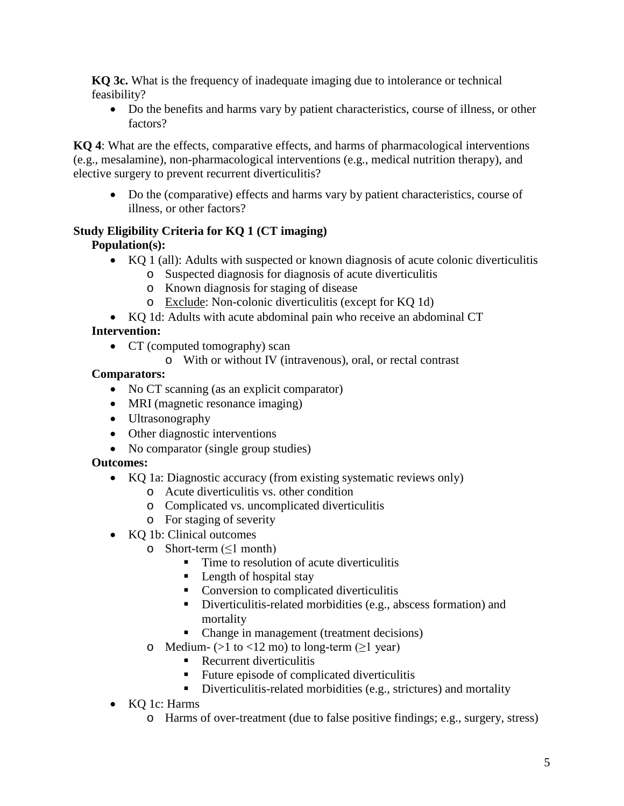**KQ 3c.** What is the frequency of inadequate imaging due to intolerance or technical feasibility?

• Do the benefits and harms vary by patient characteristics, course of illness, or other factors?

**KQ 4**: What are the effects, comparative effects, and harms of pharmacological interventions (e.g., mesalamine), non-pharmacological interventions (e.g., medical nutrition therapy), and elective surgery to prevent recurrent diverticulitis?

• Do the (comparative) effects and harms vary by patient characteristics, course of illness, or other factors?

# **Study Eligibility Criteria for KQ 1 (CT imaging)**

**Population(s):**

- KQ 1 (all): Adults with suspected or known diagnosis of acute colonic diverticulitis
	- o Suspected diagnosis for diagnosis of acute diverticulitis
	- o Known diagnosis for staging of disease
	- o Exclude: Non-colonic diverticulitis (except for KQ 1d)
- KQ 1d: Adults with acute abdominal pain who receive an abdominal CT

# **Intervention:**

- CT (computed tomography) scan
	- o With or without IV (intravenous), oral, or rectal contrast

# **Comparators:**

- No CT scanning (as an explicit comparator)
- MRI (magnetic resonance imaging)
- Ultrasonography
- Other diagnostic interventions
- No comparator (single group studies)

# **Outcomes:**

- KO 1a: Diagnostic accuracy (from existing systematic reviews only)
	- o Acute diverticulitis vs. other condition
	- o Complicated vs. uncomplicated diverticulitis
	- o For staging of severity
- KQ 1b: Clinical outcomes
	- $\circ$  Short-term ( $\leq 1$  month)
		- $\blacksquare$  Time to resolution of acute diverticulitis
		- $\blacksquare$  Length of hospital stay
		- Conversion to complicated diverticulitis
		- Diverticulitis-related morbidities (e.g., abscess formation) and mortality
		- Change in management (treatment decisions)
	- o Medium-  $(>1 \text{ to } < 12 \text{ mo})$  to long-term  $( \geq 1 \text{ year})$ 
		- Recurrent diverticulitis
		- Future episode of complicated diverticulitis
		- Diverticulitis-related morbidities (e.g., strictures) and mortality
- KQ 1c: Harms
	- o Harms of over-treatment (due to false positive findings; e.g., surgery, stress)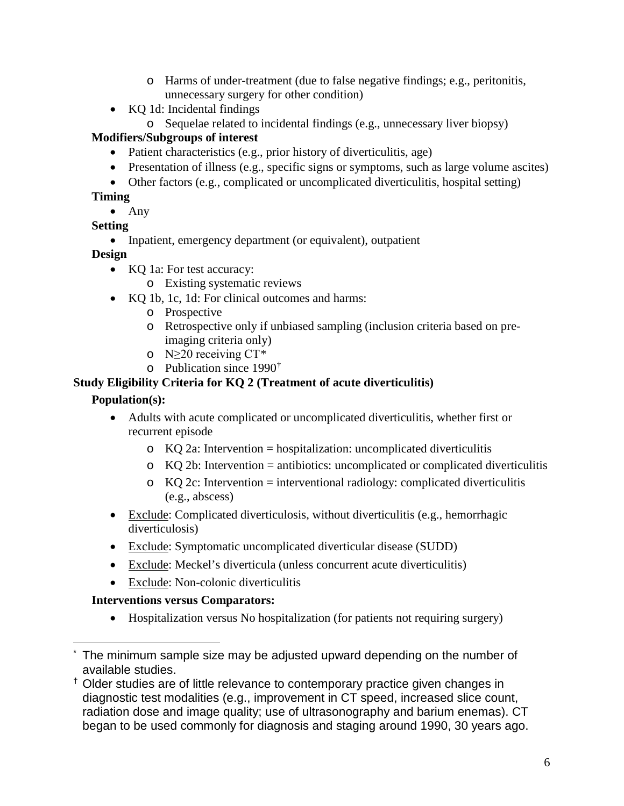- o Harms of under-treatment (due to false negative findings; e.g., peritonitis, unnecessary surgery for other condition)
- KO 1d: Incidental findings
	- o Sequelae related to incidental findings (e.g., unnecessary liver biopsy)

# **Modifiers/Subgroups of interest**

- Patient characteristics (e.g., prior history of diverticulitis, age)
- Presentation of illness (e.g., specific signs or symptoms, such as large volume ascites)
- Other factors (e.g., complicated or uncomplicated diverticulitis, hospital setting)

## **Timing**

• Any

# **Setting**

• Inpatient, emergency department (or equivalent), outpatient

## **Design**

- KQ 1a: For test accuracy:
	- o Existing systematic reviews
- KO 1b, 1c, 1d: For clinical outcomes and harms:
	- o Prospective
	- o Retrospective only if unbiased sampling (inclusion criteria based on preimaging criteria only)
	- o N≥20 receiving CT[\\*](#page-5-0)
	- o Publication since 1990[†](#page-5-1)

## **Study Eligibility Criteria for KQ 2 (Treatment of acute diverticulitis)**

## **Population(s):**

- Adults with acute complicated or uncomplicated diverticulitis, whether first or recurrent episode
	- $\circ$  KQ 2a: Intervention = hospitalization: uncomplicated diverticulitis
	- $\circ$  KQ 2b: Intervention = antibiotics: uncomplicated or complicated diverticulitis
	- $\circ$  KQ 2c: Intervention = interventional radiology: complicated diverticulitis (e.g., abscess)
- Exclude: Complicated diverticulosis, without diverticulitis (e.g., hemorrhagic diverticulosis)
- Exclude: Symptomatic uncomplicated diverticular disease (SUDD)
- Exclude: Meckel's diverticula (unless concurrent acute diverticulitis)
- Exclude: Non-colonic diverticulitis

# **Interventions versus Comparators:**

• Hospitalization versus No hospitalization (for patients not requiring surgery)

<span id="page-5-0"></span>The minimum sample size may be adjusted upward depending on the number of available studies.

<span id="page-5-1"></span><sup>†</sup> Older studies are of little relevance to contemporary practice given changes in diagnostic test modalities (e.g., improvement in CT speed, increased slice count, radiation dose and image quality; use of ultrasonography and barium enemas). CT began to be used commonly for diagnosis and staging around 1990, 30 years ago.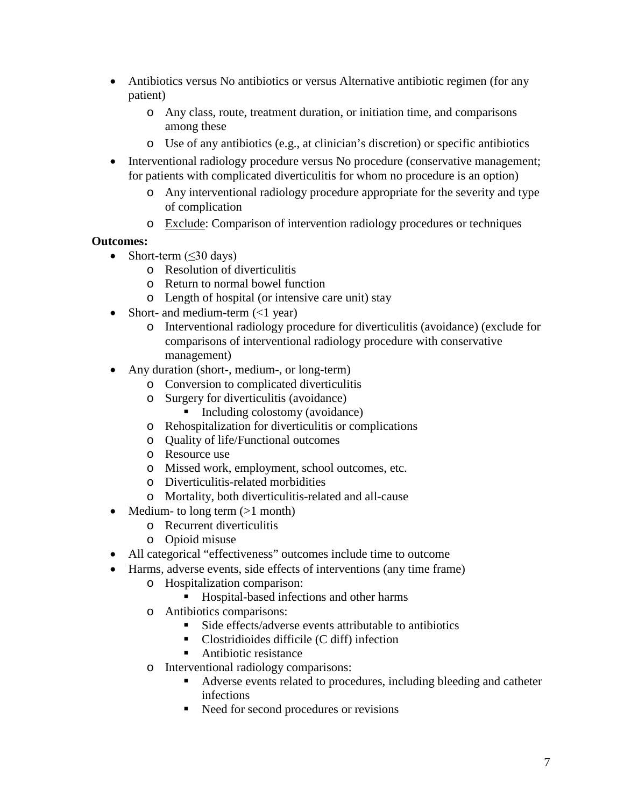- Antibiotics versus No antibiotics or versus Alternative antibiotic regimen (for any patient)
	- o Any class, route, treatment duration, or initiation time, and comparisons among these
	- o Use of any antibiotics (e.g., at clinician's discretion) or specific antibiotics
- Interventional radiology procedure versus No procedure (conservative management; for patients with complicated diverticulitis for whom no procedure is an option)
	- o Any interventional radiology procedure appropriate for the severity and type of complication
	- o Exclude: Comparison of intervention radiology procedures or techniques

## **Outcomes:**

- Short-term  $(\leq 30 \text{ days})$ 
	- o Resolution of diverticulitis
	- o Return to normal bowel function
	- o Length of hospital (or intensive care unit) stay
- Short- and medium-term  $\left(\langle 1 \rangle \right)$ 
	- o Interventional radiology procedure for diverticulitis (avoidance) (exclude for comparisons of interventional radiology procedure with conservative management)
- Any duration (short-, medium-, or long-term)
	- o Conversion to complicated diverticulitis
	- o Surgery for diverticulitis (avoidance)
		- Including colostomy (avoidance)
	- o Rehospitalization for diverticulitis or complications
	- o Quality of life/Functional outcomes
	- o Resource use
	- o Missed work, employment, school outcomes, etc.
	- o Diverticulitis-related morbidities
	- o Mortality, both diverticulitis-related and all-cause
- Medium- to long term  $(>1$  month)
	- o Recurrent diverticulitis
	- o Opioid misuse
- All categorical "effectiveness" outcomes include time to outcome
- Harms, adverse events, side effects of interventions (any time frame)
	- o Hospitalization comparison:
		- Hospital-based infections and other harms
	- o Antibiotics comparisons:
		- Side effects/adverse events attributable to antibiotics
		- Clostridioides difficile (C diff) infection
		- Antibiotic resistance
	- o Interventional radiology comparisons:
		- Adverse events related to procedures, including bleeding and catheter infections
		- Need for second procedures or revisions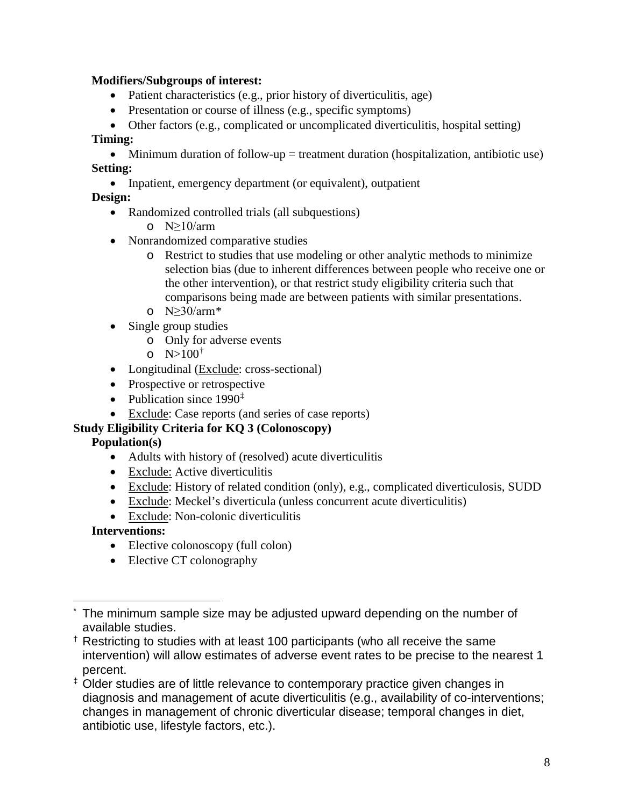#### **Modifiers/Subgroups of interest:**

- Patient characteristics (e.g., prior history of diverticulitis, age)
- Presentation or course of illness (e.g., specific symptoms)
- Other factors (e.g., complicated or uncomplicated diverticulitis, hospital setting)

#### **Timing:**

• Minimum duration of follow-up  $=$  treatment duration (hospitalization, antibiotic use) **Setting:**

• Inpatient, emergency department (or equivalent), outpatient

## **Design:**

- Randomized controlled trials (all subquestions)
	- o  $N>10/arm$
- Nonrandomized comparative studies
	- o Restrict to studies that use modeling or other analytic methods to minimize selection bias (due to inherent differences between people who receive one or the other intervention), or that restrict study eligibility criteria such that comparisons being made are between patients with similar presentations.
	- o N≥30/arm[\\*](#page-7-0)
- Single group studies
	- o Only for adverse events
	- o  $N>100^{\dagger}$
- Longitudinal (Exclude: cross-sectional)
- Prospective or retrospective
- Publication since  $1990^{\ddagger}$
- Exclude: Case reports (and series of case reports)

## **Study Eligibility Criteria for KQ 3 (Colonoscopy)**

## **Population(s)**

- Adults with history of (resolved) acute diverticulitis
- Exclude: Active diverticulitis
- Exclude: History of related condition (only), e.g., complicated diverticulosis, SUDD
- Exclude: Meckel's diverticula (unless concurrent acute diverticulitis)
- Exclude: Non-colonic diverticulitis

## **Interventions:**

- Elective colonoscopy (full colon)
- Elective CT colonography

<span id="page-7-0"></span>The minimum sample size may be adjusted upward depending on the number of available studies.

<span id="page-7-1"></span><sup>†</sup> Restricting to studies with at least 100 participants (who all receive the same intervention) will allow estimates of adverse event rates to be precise to the nearest 1 percent.

<span id="page-7-2"></span><sup>‡</sup> Older studies are of little relevance to contemporary practice given changes in diagnosis and management of acute diverticulitis (e.g., availability of co-interventions; changes in management of chronic diverticular disease; temporal changes in diet, antibiotic use, lifestyle factors, etc.).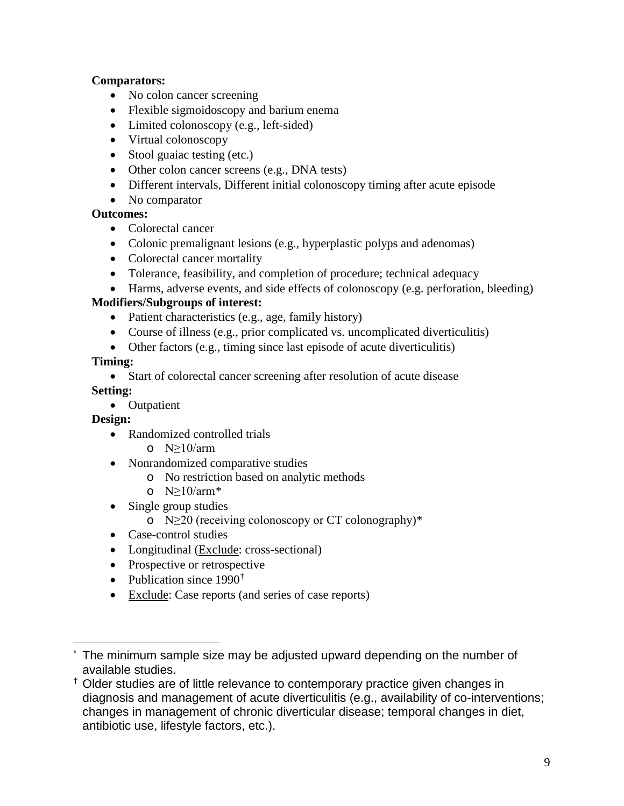#### **Comparators:**

- No colon cancer screening
- Flexible sigmoidoscopy and barium enema
- Limited colonoscopy (e.g., left-sided)
- Virtual colonoscopy
- Stool guaiac testing (etc.)
- Other colon cancer screens (e.g., DNA tests)
- Different intervals, Different initial colonoscopy timing after acute episode
- No comparator

## **Outcomes:**

- Colorectal cancer
- Colonic premalignant lesions (e.g., hyperplastic polyps and adenomas)
- Colorectal cancer mortality
- Tolerance, feasibility, and completion of procedure; technical adequacy
- Harms, adverse events, and side effects of colonoscopy (e.g. perforation, bleeding)

## **Modifiers/Subgroups of interest:**

- Patient characteristics (e.g., age, family history)
- Course of illness (e.g., prior complicated vs. uncomplicated diverticulitis)
- Other factors (e.g., timing since last episode of acute diverticulitis)

#### **Timing:**

• Start of colorectal cancer screening after resolution of acute disease

#### **Setting:**

• Outpatient

#### **Design:**

- Randomized controlled trials
	- o N≥10/arm
- Nonrandomized comparative studies
	- o No restriction based on analytic methods
	- o  $N>10/arm*$  $N>10/arm*$
- Single group studies
	- o N≥20 (receiving colonoscopy or CT colonography)\*
- Case-control studies
- Longitudinal (Exclude: cross-sectional)
- Prospective or retrospective
- Publication since  $1990^{\dagger}$
- Exclude: Case reports (and series of case reports)

<span id="page-8-0"></span>The minimum sample size may be adjusted upward depending on the number of available studies.

<span id="page-8-1"></span><sup>†</sup> Older studies are of little relevance to contemporary practice given changes in diagnosis and management of acute diverticulitis (e.g., availability of co-interventions; changes in management of chronic diverticular disease; temporal changes in diet, antibiotic use, lifestyle factors, etc.).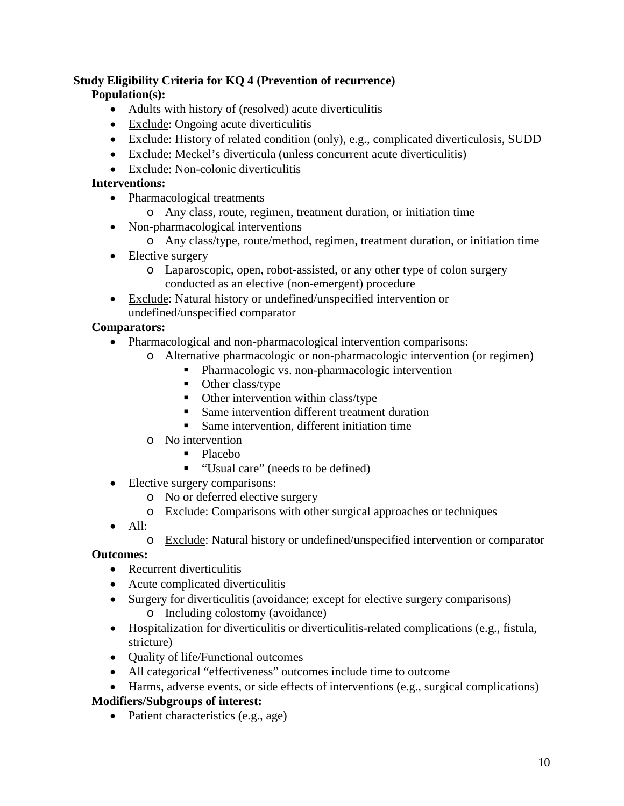#### **Study Eligibility Criteria for KQ 4 (Prevention of recurrence)**

### **Population(s):**

- Adults with history of (resolved) acute diverticulitis
- Exclude: Ongoing acute diverticulitis
- Exclude: History of related condition (only), e.g., complicated diverticulosis, SUDD
- Exclude: Meckel's diverticula (unless concurrent acute diverticulitis)
- Exclude: Non-colonic diverticulitis

#### **Interventions:**

- Pharmacological treatments
	- o Any class, route, regimen, treatment duration, or initiation time
- Non-pharmacological interventions
	- o Any class/type, route/method, regimen, treatment duration, or initiation time
- Elective surgery
	- o Laparoscopic, open, robot-assisted, or any other type of colon surgery conducted as an elective (non-emergent) procedure
- Exclude: Natural history or undefined/unspecified intervention or undefined/unspecified comparator

#### **Comparators:**

- Pharmacological and non-pharmacological intervention comparisons:
	- o Alternative pharmacologic or non-pharmacologic intervention (or regimen)
		- **•** Pharmacologic vs. non-pharmacologic intervention
		- Other class/type
		- $\blacksquare$  Other intervention within class/type
		- Same intervention different treatment duration
		- Same intervention, different initiation time
	- o No intervention
		- Placebo
		- "Usual care" (needs to be defined)
- Elective surgery comparisons:
	- o No or deferred elective surgery
	- o Exclude: Comparisons with other surgical approaches or techniques
- All:
	- o Exclude: Natural history or undefined/unspecified intervention or comparator

## **Outcomes:**

- Recurrent diverticulitis
- Acute complicated diverticulitis
- Surgery for diverticulitis (avoidance; except for elective surgery comparisons) o Including colostomy (avoidance)
- Hospitalization for diverticulitis or diverticulitis-related complications (e.g., fistula, stricture)
- **Quality of life/Functional outcomes**
- All categorical "effectiveness" outcomes include time to outcome
- Harms, adverse events, or side effects of interventions (e.g., surgical complications)

## **Modifiers/Subgroups of interest:**

• Patient characteristics (e.g., age)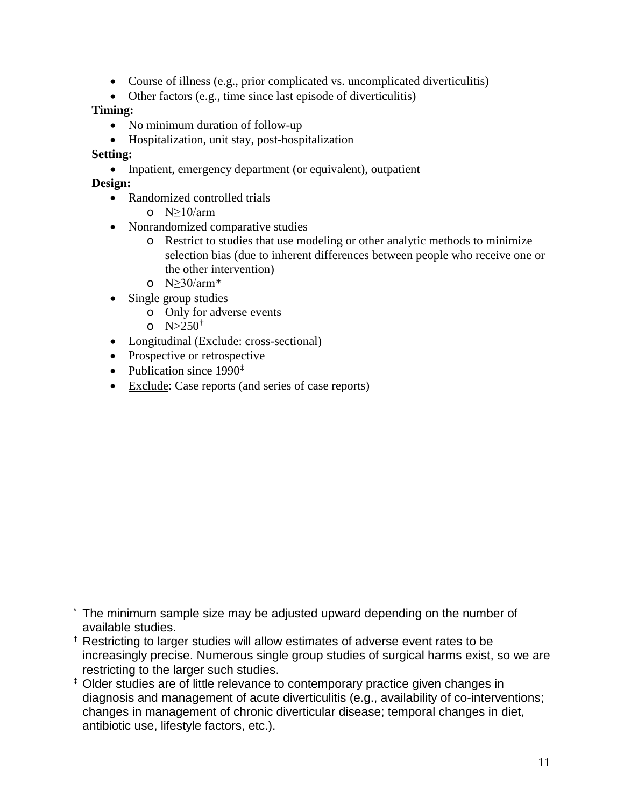- Course of illness (e.g., prior complicated vs. uncomplicated diverticulitis)
- Other factors (e.g., time since last episode of diverticulitis)

#### **Timing:**

- No minimum duration of follow-up
- Hospitalization, unit stay, post-hospitalization

### **Setting:**

• Inpatient, emergency department (or equivalent), outpatient

### **Design:**

- Randomized controlled trials
	- o  $N>10/arm$
- Nonrandomized comparative studies
	- o Restrict to studies that use modeling or other analytic methods to minimize selection bias (due to inherent differences between people who receive one or the other intervention)
	- o  $N>30/arm*$  $N>30/arm*$
- Single group studies
	- o Only for adverse events
	- $0^{\circ}$  N>250<sup>[†](#page-10-1)</sup>
- Longitudinal (Exclude: cross-sectional)
- Prospective or retrospective
- Publication since  $1990^{\ddagger}$
- Exclude: Case reports (and series of case reports)

<span id="page-10-0"></span>The minimum sample size may be adjusted upward depending on the number of available studies.

<span id="page-10-1"></span><sup>†</sup> Restricting to larger studies will allow estimates of adverse event rates to be increasingly precise. Numerous single group studies of surgical harms exist, so we are restricting to the larger such studies.

<span id="page-10-2"></span><sup>‡</sup> Older studies are of little relevance to contemporary practice given changes in diagnosis and management of acute diverticulitis (e.g., availability of co-interventions; changes in management of chronic diverticular disease; temporal changes in diet, antibiotic use, lifestyle factors, etc.).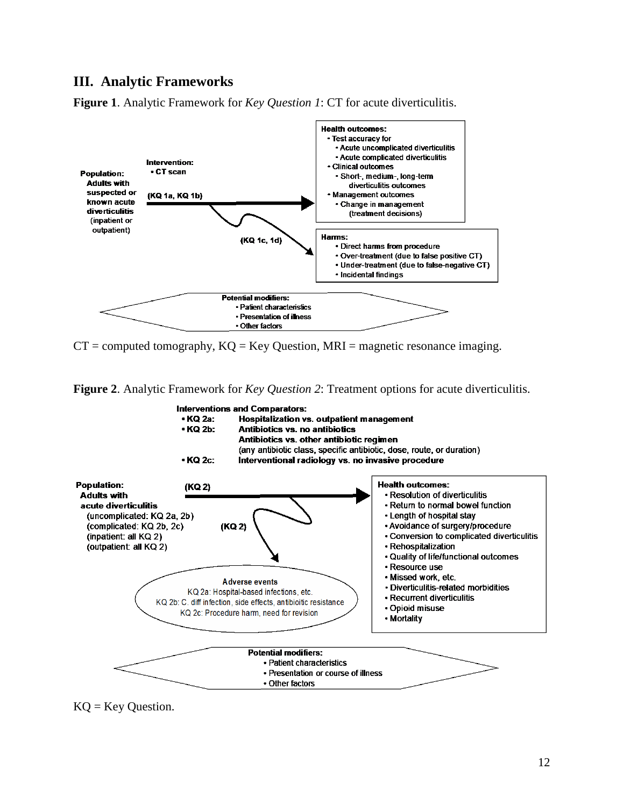#### **III. Analytic Frameworks**

**Figure 1**. Analytic Framework for *Key Question 1*: CT for acute diverticulitis.



 $CT =$  computed tomography,  $KQ = Key$  Question, MRI = magnetic resonance imaging.

**Figure 2**. Analytic Framework for *Key Question 2*: Treatment options for acute diverticulitis.



 $KQ = Key Question.$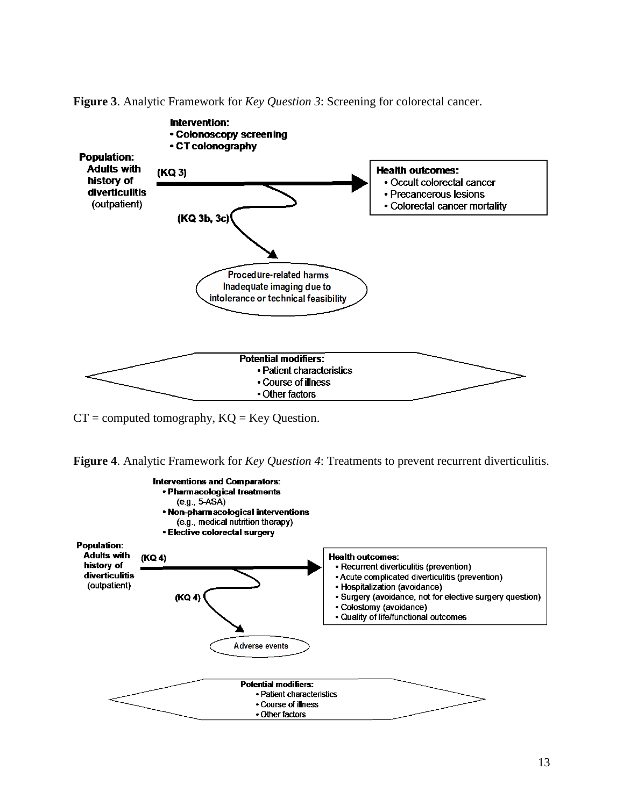**Figure 3**. Analytic Framework for *Key Question 3*: Screening for colorectal cancer.



 $CT = computed tomography, KQ = Key Question.$ 



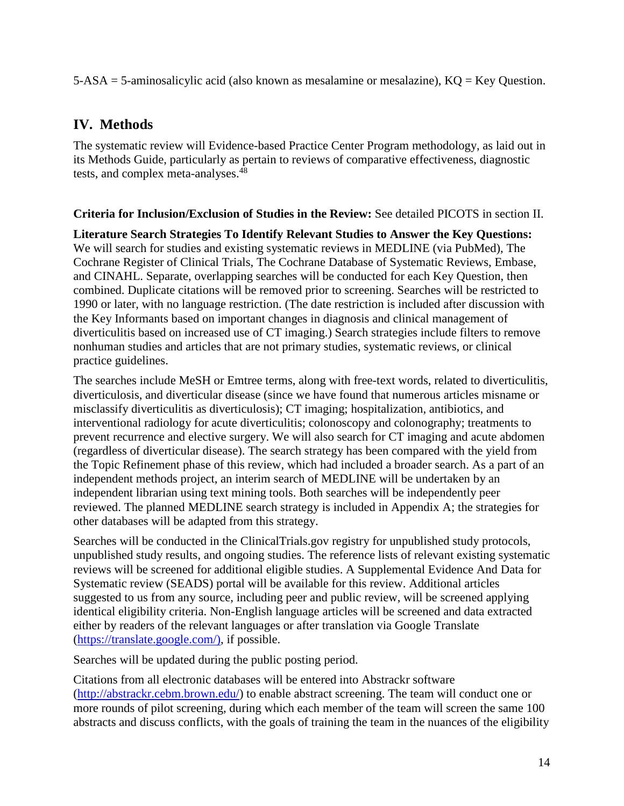5-ASA = 5-aminosalicylic acid (also known as mesalamine or mesalazine), KQ = Key Question.

# **IV. Methods**

The systematic review will Evidence-based Practice Center Program methodology, as laid out in its Methods Guide, particularly as pertain to reviews of comparative effectiveness, diagnostic tests, and complex meta-analyses.<sup>48</sup>

#### **Criteria for Inclusion/Exclusion of Studies in the Review:** See detailed PICOTS in section II.

**Literature Search Strategies To Identify Relevant Studies to Answer the Key Questions:**  We will search for studies and existing systematic reviews in MEDLINE (via PubMed), The Cochrane Register of Clinical Trials, The Cochrane Database of Systematic Reviews, Embase, and CINAHL. Separate, overlapping searches will be conducted for each Key Question, then combined. Duplicate citations will be removed prior to screening. Searches will be restricted to 1990 or later, with no language restriction. (The date restriction is included after discussion with the Key Informants based on important changes in diagnosis and clinical management of diverticulitis based on increased use of CT imaging.) Search strategies include filters to remove nonhuman studies and articles that are not primary studies, systematic reviews, or clinical practice guidelines.

The searches include MeSH or Emtree terms, along with free-text words, related to diverticulitis, diverticulosis, and diverticular disease (since we have found that numerous articles misname or misclassify diverticulitis as diverticulosis); CT imaging; hospitalization, antibiotics, and interventional radiology for acute diverticulitis; colonoscopy and colonography; treatments to prevent recurrence and elective surgery. We will also search for CT imaging and acute abdomen (regardless of diverticular disease). The search strategy has been compared with the yield from the Topic Refinement phase of this review, which had included a broader search. As a part of an independent methods project, an interim search of MEDLINE will be undertaken by an independent librarian using text mining tools. Both searches will be independently peer reviewed. The planned MEDLINE search strategy is included in Appendix A; the strategies for other databases will be adapted from this strategy.

Searches will be conducted in the ClinicalTrials.gov registry for unpublished study protocols, unpublished study results, and ongoing studies. The reference lists of relevant existing systematic reviews will be screened for additional eligible studies. A Supplemental Evidence And Data for Systematic review (SEADS) portal will be available for this review. Additional articles suggested to us from any source, including peer and public review, will be screened applying identical eligibility criteria. Non-English language articles will be screened and data extracted either by readers of the relevant languages or after translation via Google Translate [\(https://translate.google.com/\),](https://translate.google.com/)) if possible.

Searches will be updated during the public posting period.

Citations from all electronic databases will be entered into Abstrackr software [\(http://abstrackr.cebm.brown.edu/\)](http://abstrackr.cebm.brown.edu/) to enable abstract screening. The team will conduct one or more rounds of pilot screening, during which each member of the team will screen the same 100 abstracts and discuss conflicts, with the goals of training the team in the nuances of the eligibility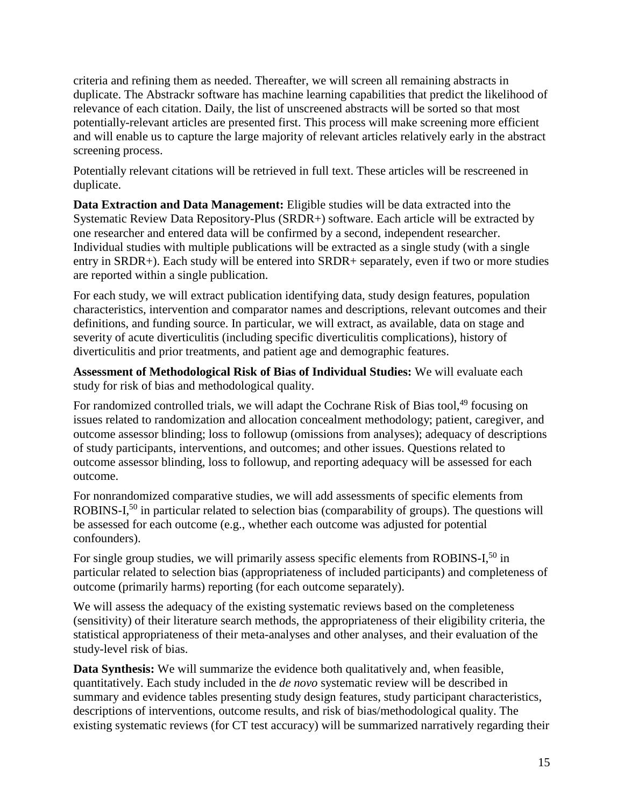criteria and refining them as needed. Thereafter, we will screen all remaining abstracts in duplicate. The Abstrackr software has machine learning capabilities that predict the likelihood of relevance of each citation. Daily, the list of unscreened abstracts will be sorted so that most potentially-relevant articles are presented first. This process will make screening more efficient and will enable us to capture the large majority of relevant articles relatively early in the abstract screening process.

Potentially relevant citations will be retrieved in full text. These articles will be rescreened in duplicate.

**Data Extraction and Data Management:** Eligible studies will be data extracted into the Systematic Review Data Repository-Plus (SRDR+) software. Each article will be extracted by one researcher and entered data will be confirmed by a second, independent researcher. Individual studies with multiple publications will be extracted as a single study (with a single entry in SRDR+). Each study will be entered into SRDR+ separately, even if two or more studies are reported within a single publication.

For each study, we will extract publication identifying data, study design features, population characteristics, intervention and comparator names and descriptions, relevant outcomes and their definitions, and funding source. In particular, we will extract, as available, data on stage and severity of acute diverticulitis (including specific diverticulitis complications), history of diverticulitis and prior treatments, and patient age and demographic features.

**Assessment of Methodological Risk of Bias of Individual Studies:** We will evaluate each study for risk of bias and methodological quality.

For randomized controlled trials, we will adapt the Cochrane Risk of Bias tool,<sup>49</sup> focusing on issues related to randomization and allocation concealment methodology; patient, caregiver, and outcome assessor blinding; loss to followup (omissions from analyses); adequacy of descriptions of study participants, interventions, and outcomes; and other issues. Questions related to outcome assessor blinding, loss to followup, and reporting adequacy will be assessed for each outcome.

For nonrandomized comparative studies, we will add assessments of specific elements from ROBINS-I,<sup>50</sup> in particular related to selection bias (comparability of groups). The questions will be assessed for each outcome (e.g., whether each outcome was adjusted for potential confounders).

For single group studies, we will primarily assess specific elements from ROBINS-I,<sup>50</sup> in particular related to selection bias (appropriateness of included participants) and completeness of outcome (primarily harms) reporting (for each outcome separately).

We will assess the adequacy of the existing systematic reviews based on the completeness (sensitivity) of their literature search methods, the appropriateness of their eligibility criteria, the statistical appropriateness of their meta-analyses and other analyses, and their evaluation of the study-level risk of bias.

**Data Synthesis:** We will summarize the evidence both qualitatively and, when feasible, quantitatively. Each study included in the *de novo* systematic review will be described in summary and evidence tables presenting study design features, study participant characteristics, descriptions of interventions, outcome results, and risk of bias/methodological quality. The existing systematic reviews (for CT test accuracy) will be summarized narratively regarding their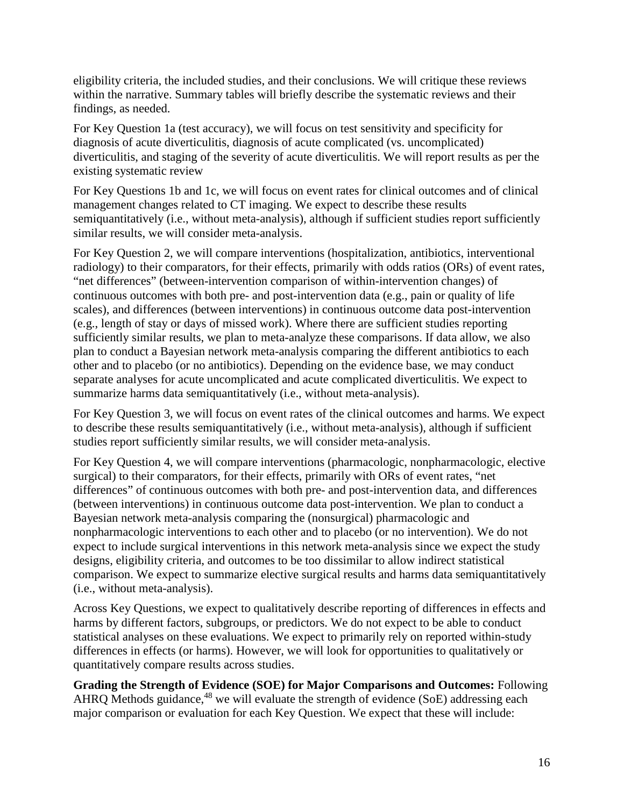eligibility criteria, the included studies, and their conclusions. We will critique these reviews within the narrative. Summary tables will briefly describe the systematic reviews and their findings, as needed.

For Key Question 1a (test accuracy), we will focus on test sensitivity and specificity for diagnosis of acute diverticulitis, diagnosis of acute complicated (vs. uncomplicated) diverticulitis, and staging of the severity of acute diverticulitis. We will report results as per the existing systematic review

For Key Questions 1b and 1c, we will focus on event rates for clinical outcomes and of clinical management changes related to CT imaging. We expect to describe these results semiquantitatively (i.e., without meta-analysis), although if sufficient studies report sufficiently similar results, we will consider meta-analysis.

For Key Question 2, we will compare interventions (hospitalization, antibiotics, interventional radiology) to their comparators, for their effects, primarily with odds ratios (ORs) of event rates, "net differences" (between-intervention comparison of within-intervention changes) of continuous outcomes with both pre- and post-intervention data (e.g., pain or quality of life scales), and differences (between interventions) in continuous outcome data post-intervention (e.g., length of stay or days of missed work). Where there are sufficient studies reporting sufficiently similar results, we plan to meta-analyze these comparisons. If data allow, we also plan to conduct a Bayesian network meta-analysis comparing the different antibiotics to each other and to placebo (or no antibiotics). Depending on the evidence base, we may conduct separate analyses for acute uncomplicated and acute complicated diverticulitis. We expect to summarize harms data semiquantitatively (i.e., without meta-analysis).

For Key Question 3, we will focus on event rates of the clinical outcomes and harms. We expect to describe these results semiquantitatively (i.e., without meta-analysis), although if sufficient studies report sufficiently similar results, we will consider meta-analysis.

For Key Question 4, we will compare interventions (pharmacologic, nonpharmacologic, elective surgical) to their comparators, for their effects, primarily with ORs of event rates, "net differences" of continuous outcomes with both pre- and post-intervention data, and differences (between interventions) in continuous outcome data post-intervention. We plan to conduct a Bayesian network meta-analysis comparing the (nonsurgical) pharmacologic and nonpharmacologic interventions to each other and to placebo (or no intervention). We do not expect to include surgical interventions in this network meta-analysis since we expect the study designs, eligibility criteria, and outcomes to be too dissimilar to allow indirect statistical comparison. We expect to summarize elective surgical results and harms data semiquantitatively (i.e., without meta-analysis).

Across Key Questions, we expect to qualitatively describe reporting of differences in effects and harms by different factors, subgroups, or predictors. We do not expect to be able to conduct statistical analyses on these evaluations. We expect to primarily rely on reported within-study differences in effects (or harms). However, we will look for opportunities to qualitatively or quantitatively compare results across studies.

**Grading the Strength of Evidence (SOE) for Major Comparisons and Outcomes:** Following AHRQ Methods guidance,<sup>48</sup> we will evaluate the strength of evidence (SoE) addressing each major comparison or evaluation for each Key Question. We expect that these will include: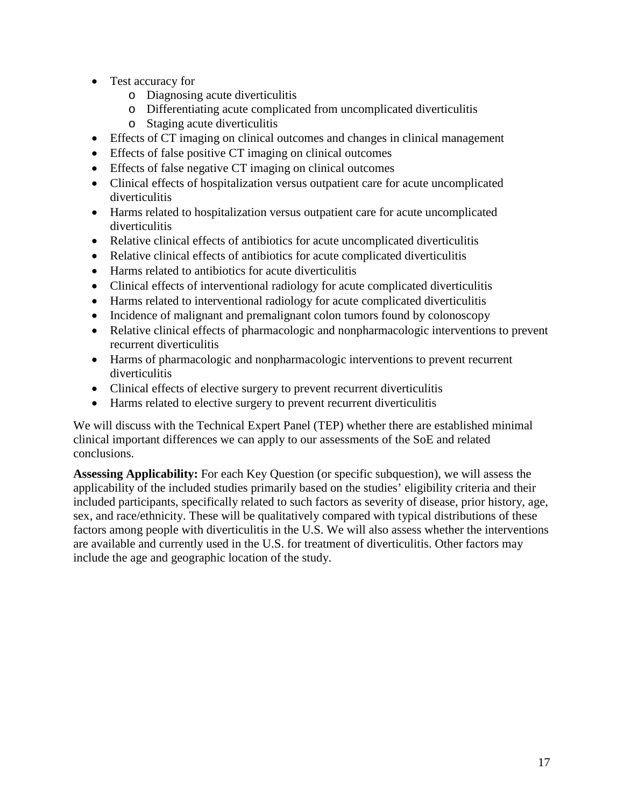- Test accuracy for
	- o Diagnosing acute diverticulitis
	- o Differentiating acute complicated from uncomplicated diverticulitis
	- o Staging acute diverticulitis
- Effects of CT imaging on clinical outcomes and changes in clinical management
- Effects of false positive CT imaging on clinical outcomes
- Effects of false negative CT imaging on clinical outcomes
- Clinical effects of hospitalization versus outpatient care for acute uncomplicated diverticulitis
- Harms related to hospitalization versus outpatient care for acute uncomplicated diverticulitis
- Relative clinical effects of antibiotics for acute uncomplicated diverticulitis
- Relative clinical effects of antibiotics for acute complicated diverticulitis
- Harms related to antibiotics for acute diverticulitis
- Clinical effects of interventional radiology for acute complicated diverticulitis
- Harms related to interventional radiology for acute complicated diverticulitis
- Incidence of malignant and premalignant colon tumors found by colonoscopy
- Relative clinical effects of pharmacologic and nonpharmacologic interventions to prevent recurrent diverticulitis
- Harms of pharmacologic and nonpharmacologic interventions to prevent recurrent diverticulitis
- Clinical effects of elective surgery to prevent recurrent diverticulitis
- Harms related to elective surgery to prevent recurrent diverticulitis

We will discuss with the Technical Expert Panel (TEP) whether there are established minimal clinical important differences we can apply to our assessments of the SoE and related conclusions.

**Assessing Applicability:** For each Key Question (or specific subquestion), we will assess the applicability of the included studies primarily based on the studies' eligibility criteria and their included participants, specifically related to such factors as severity of disease, prior history, age, sex, and race/ethnicity. These will be qualitatively compared with typical distributions of these factors among people with diverticulitis in the U.S. We will also assess whether the interventions are available and currently used in the U.S. for treatment of diverticulitis. Other factors may include the age and geographic location of the study.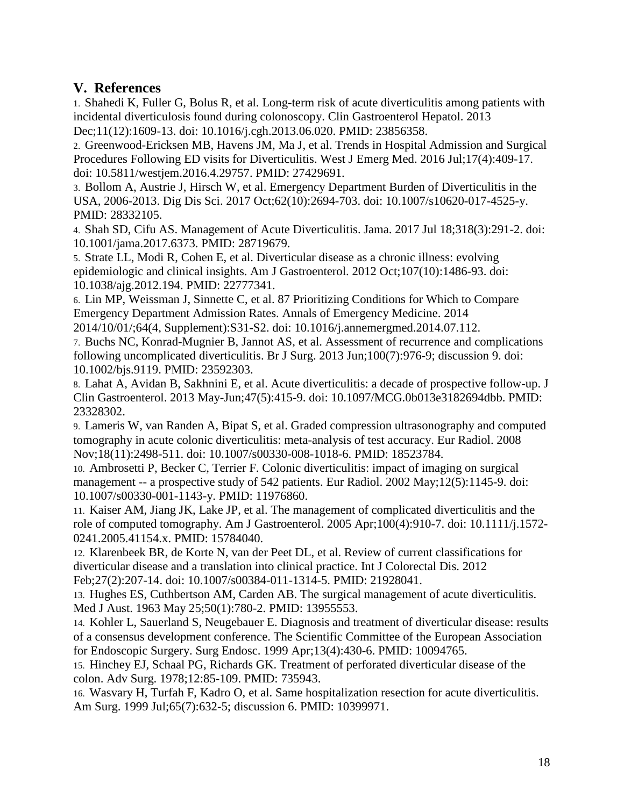## **V. References**

1. Shahedi K, Fuller G, Bolus R, et al. Long-term risk of acute diverticulitis among patients with incidental diverticulosis found during colonoscopy. Clin Gastroenterol Hepatol. 2013 Dec;11(12):1609-13. doi: 10.1016/j.cgh.2013.06.020. PMID: 23856358.

2. Greenwood-Ericksen MB, Havens JM, Ma J, et al. Trends in Hospital Admission and Surgical Procedures Following ED visits for Diverticulitis. West J Emerg Med. 2016 Jul;17(4):409-17. doi: 10.5811/westjem.2016.4.29757. PMID: 27429691.

3. Bollom A, Austrie J, Hirsch W, et al. Emergency Department Burden of Diverticulitis in the USA, 2006-2013. Dig Dis Sci. 2017 Oct;62(10):2694-703. doi: 10.1007/s10620-017-4525-y. PMID: 28332105.

4. Shah SD, Cifu AS. Management of Acute Diverticulitis. Jama. 2017 Jul 18;318(3):291-2. doi: 10.1001/jama.2017.6373. PMID: 28719679.

5. Strate LL, Modi R, Cohen E, et al. Diverticular disease as a chronic illness: evolving epidemiologic and clinical insights. Am J Gastroenterol. 2012 Oct;107(10):1486-93. doi: 10.1038/ajg.2012.194. PMID: 22777341.

6. Lin MP, Weissman J, Sinnette C, et al. 87 Prioritizing Conditions for Which to Compare Emergency Department Admission Rates. Annals of Emergency Medicine. 2014 2014/10/01/;64(4, Supplement):S31-S2. doi: 10.1016/j.annemergmed.2014.07.112.

7. Buchs NC, Konrad-Mugnier B, Jannot AS, et al. Assessment of recurrence and complications following uncomplicated diverticulitis. Br J Surg. 2013 Jun;100(7):976-9; discussion 9. doi: 10.1002/bjs.9119. PMID: 23592303.

8. Lahat A, Avidan B, Sakhnini E, et al. Acute diverticulitis: a decade of prospective follow-up. J Clin Gastroenterol. 2013 May-Jun;47(5):415-9. doi: 10.1097/MCG.0b013e3182694dbb. PMID: 23328302.

9. Lameris W, van Randen A, Bipat S, et al. Graded compression ultrasonography and computed tomography in acute colonic diverticulitis: meta-analysis of test accuracy. Eur Radiol. 2008 Nov;18(11):2498-511. doi: 10.1007/s00330-008-1018-6. PMID: 18523784.

10. Ambrosetti P, Becker C, Terrier F. Colonic diverticulitis: impact of imaging on surgical management -- a prospective study of 542 patients. Eur Radiol. 2002 May;12(5):1145-9. doi: 10.1007/s00330-001-1143-y. PMID: 11976860.

11. Kaiser AM, Jiang JK, Lake JP, et al. The management of complicated diverticulitis and the role of computed tomography. Am J Gastroenterol. 2005 Apr;100(4):910-7. doi: 10.1111/j.1572- 0241.2005.41154.x. PMID: 15784040.

12. Klarenbeek BR, de Korte N, van der Peet DL, et al. Review of current classifications for diverticular disease and a translation into clinical practice. Int J Colorectal Dis. 2012 Feb;27(2):207-14. doi: 10.1007/s00384-011-1314-5. PMID: 21928041.

13. Hughes ES, Cuthbertson AM, Carden AB. The surgical management of acute diverticulitis. Med J Aust. 1963 May 25;50(1):780-2. PMID: 13955553.

14. Kohler L, Sauerland S, Neugebauer E. Diagnosis and treatment of diverticular disease: results of a consensus development conference. The Scientific Committee of the European Association for Endoscopic Surgery. Surg Endosc. 1999 Apr;13(4):430-6. PMID: 10094765.

15. Hinchey EJ, Schaal PG, Richards GK. Treatment of perforated diverticular disease of the colon. Adv Surg. 1978;12:85-109. PMID: 735943.

16. Wasvary H, Turfah F, Kadro O, et al. Same hospitalization resection for acute diverticulitis. Am Surg. 1999 Jul;65(7):632-5; discussion 6. PMID: 10399971.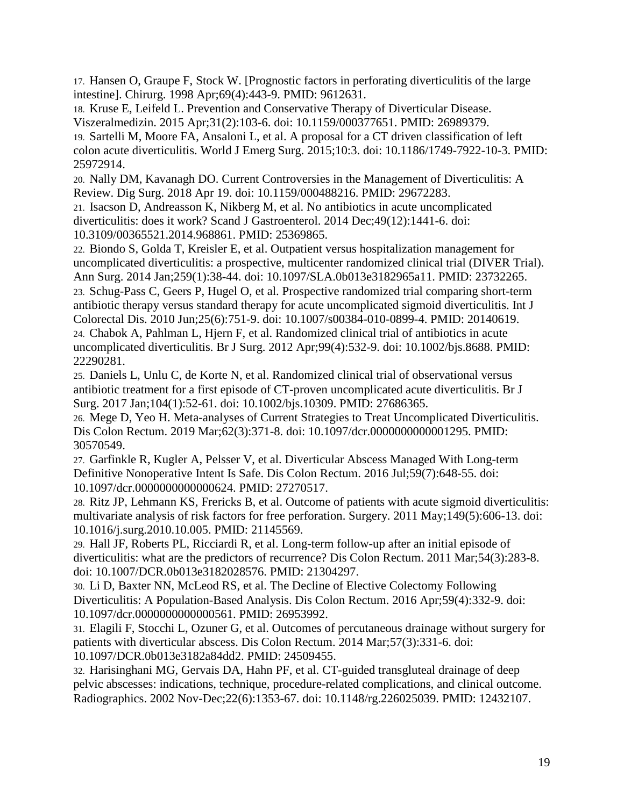17. Hansen O, Graupe F, Stock W. [Prognostic factors in perforating diverticulitis of the large intestine]. Chirurg. 1998 Apr;69(4):443-9. PMID: 9612631.

18. Kruse E, Leifeld L. Prevention and Conservative Therapy of Diverticular Disease. Viszeralmedizin. 2015 Apr;31(2):103-6. doi: 10.1159/000377651. PMID: 26989379.

19. Sartelli M, Moore FA, Ansaloni L, et al. A proposal for a CT driven classification of left colon acute diverticulitis. World J Emerg Surg. 2015;10:3. doi: 10.1186/1749-7922-10-3. PMID: 25972914.

20. Nally DM, Kavanagh DO. Current Controversies in the Management of Diverticulitis: A Review. Dig Surg. 2018 Apr 19. doi: 10.1159/000488216. PMID: 29672283.

21. Isacson D, Andreasson K, Nikberg M, et al. No antibiotics in acute uncomplicated diverticulitis: does it work? Scand J Gastroenterol. 2014 Dec;49(12):1441-6. doi: 10.3109/00365521.2014.968861. PMID: 25369865.

22. Biondo S, Golda T, Kreisler E, et al. Outpatient versus hospitalization management for uncomplicated diverticulitis: a prospective, multicenter randomized clinical trial (DIVER Trial). Ann Surg. 2014 Jan;259(1):38-44. doi: 10.1097/SLA.0b013e3182965a11. PMID: 23732265.

23. Schug-Pass C, Geers P, Hugel O, et al. Prospective randomized trial comparing short-term antibiotic therapy versus standard therapy for acute uncomplicated sigmoid diverticulitis. Int J Colorectal Dis. 2010 Jun;25(6):751-9. doi: 10.1007/s00384-010-0899-4. PMID: 20140619. 24. Chabok A, Pahlman L, Hjern F, et al. Randomized clinical trial of antibiotics in acute uncomplicated diverticulitis. Br J Surg. 2012 Apr;99(4):532-9. doi: 10.1002/bjs.8688. PMID: 22290281.

25. Daniels L, Unlu C, de Korte N, et al. Randomized clinical trial of observational versus antibiotic treatment for a first episode of CT-proven uncomplicated acute diverticulitis. Br J Surg. 2017 Jan;104(1):52-61. doi: 10.1002/bjs.10309. PMID: 27686365.

26. Mege D, Yeo H. Meta-analyses of Current Strategies to Treat Uncomplicated Diverticulitis. Dis Colon Rectum. 2019 Mar;62(3):371-8. doi: 10.1097/dcr.0000000000001295. PMID: 30570549.

27. Garfinkle R, Kugler A, Pelsser V, et al. Diverticular Abscess Managed With Long-term Definitive Nonoperative Intent Is Safe. Dis Colon Rectum. 2016 Jul;59(7):648-55. doi: 10.1097/dcr.0000000000000624. PMID: 27270517.

28. Ritz JP, Lehmann KS, Frericks B, et al. Outcome of patients with acute sigmoid diverticulitis: multivariate analysis of risk factors for free perforation. Surgery. 2011 May;149(5):606-13. doi: 10.1016/j.surg.2010.10.005. PMID: 21145569.

29. Hall JF, Roberts PL, Ricciardi R, et al. Long-term follow-up after an initial episode of diverticulitis: what are the predictors of recurrence? Dis Colon Rectum. 2011 Mar;54(3):283-8. doi: 10.1007/DCR.0b013e3182028576. PMID: 21304297.

30. Li D, Baxter NN, McLeod RS, et al. The Decline of Elective Colectomy Following Diverticulitis: A Population-Based Analysis. Dis Colon Rectum. 2016 Apr;59(4):332-9. doi: 10.1097/dcr.0000000000000561. PMID: 26953992.

31. Elagili F, Stocchi L, Ozuner G, et al. Outcomes of percutaneous drainage without surgery for patients with diverticular abscess. Dis Colon Rectum. 2014 Mar;57(3):331-6. doi: 10.1097/DCR.0b013e3182a84dd2. PMID: 24509455.

32. Harisinghani MG, Gervais DA, Hahn PF, et al. CT-guided transgluteal drainage of deep pelvic abscesses: indications, technique, procedure-related complications, and clinical outcome. Radiographics. 2002 Nov-Dec;22(6):1353-67. doi: 10.1148/rg.226025039. PMID: 12432107.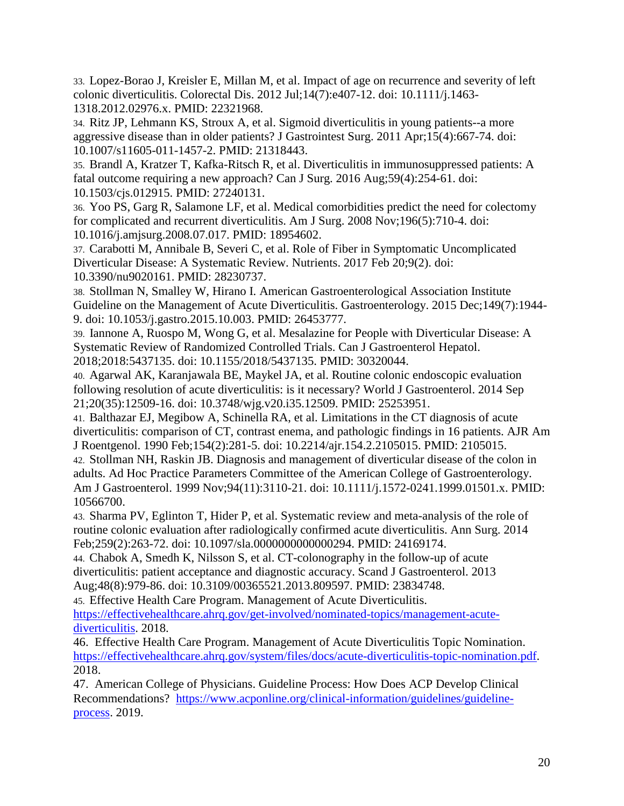33. Lopez-Borao J, Kreisler E, Millan M, et al. Impact of age on recurrence and severity of left colonic diverticulitis. Colorectal Dis. 2012 Jul;14(7):e407-12. doi: 10.1111/j.1463- 1318.2012.02976.x. PMID: 22321968.

34. Ritz JP, Lehmann KS, Stroux A, et al. Sigmoid diverticulitis in young patients--a more aggressive disease than in older patients? J Gastrointest Surg. 2011 Apr;15(4):667-74. doi: 10.1007/s11605-011-1457-2. PMID: 21318443.

35. Brandl A, Kratzer T, Kafka-Ritsch R, et al. Diverticulitis in immunosuppressed patients: A fatal outcome requiring a new approach? Can J Surg. 2016 Aug;59(4):254-61. doi: 10.1503/cjs.012915. PMID: 27240131.

36. Yoo PS, Garg R, Salamone LF, et al. Medical comorbidities predict the need for colectomy for complicated and recurrent diverticulitis. Am J Surg. 2008 Nov;196(5):710-4. doi: 10.1016/j.amjsurg.2008.07.017. PMID: 18954602.

37. Carabotti M, Annibale B, Severi C, et al. Role of Fiber in Symptomatic Uncomplicated Diverticular Disease: A Systematic Review. Nutrients. 2017 Feb 20;9(2). doi: 10.3390/nu9020161. PMID: 28230737.

38. Stollman N, Smalley W, Hirano I. American Gastroenterological Association Institute Guideline on the Management of Acute Diverticulitis. Gastroenterology. 2015 Dec;149(7):1944- 9. doi: 10.1053/j.gastro.2015.10.003. PMID: 26453777.

39. Iannone A, Ruospo M, Wong G, et al. Mesalazine for People with Diverticular Disease: A Systematic Review of Randomized Controlled Trials. Can J Gastroenterol Hepatol. 2018;2018:5437135. doi: 10.1155/2018/5437135. PMID: 30320044.

40. Agarwal AK, Karanjawala BE, Maykel JA, et al. Routine colonic endoscopic evaluation following resolution of acute diverticulitis: is it necessary? World J Gastroenterol. 2014 Sep 21;20(35):12509-16. doi: 10.3748/wjg.v20.i35.12509. PMID: 25253951.

41. Balthazar EJ, Megibow A, Schinella RA, et al. Limitations in the CT diagnosis of acute diverticulitis: comparison of CT, contrast enema, and pathologic findings in 16 patients. AJR Am J Roentgenol. 1990 Feb;154(2):281-5. doi: 10.2214/ajr.154.2.2105015. PMID: 2105015.

42. Stollman NH, Raskin JB. Diagnosis and management of diverticular disease of the colon in adults. Ad Hoc Practice Parameters Committee of the American College of Gastroenterology. Am J Gastroenterol. 1999 Nov;94(11):3110-21. doi: 10.1111/j.1572-0241.1999.01501.x. PMID: 10566700.

43. Sharma PV, Eglinton T, Hider P, et al. Systematic review and meta-analysis of the role of routine colonic evaluation after radiologically confirmed acute diverticulitis. Ann Surg. 2014 Feb;259(2):263-72. doi: 10.1097/sla.0000000000000294. PMID: 24169174.

44. Chabok A, Smedh K, Nilsson S, et al. CT-colonography in the follow-up of acute diverticulitis: patient acceptance and diagnostic accuracy. Scand J Gastroenterol. 2013 Aug;48(8):979-86. doi: 10.3109/00365521.2013.809597. PMID: 23834748.

45. Effective Health Care Program. Management of Acute Diverticulitis.

[https://effectivehealthcare.ahrq.gov/get-involved/nominated-topics/management-acute](https://effectivehealthcare.ahrq.gov/get-involved/nominated-topics/management-acute-diverticulitis)[diverticulitis.](https://effectivehealthcare.ahrq.gov/get-involved/nominated-topics/management-acute-diverticulitis) 2018.

46. Effective Health Care Program. Management of Acute Diverticulitis Topic Nomination. [https://effectivehealthcare.ahrq.gov/system/files/docs/acute-diverticulitis-topic-nomination.pdf.](https://effectivehealthcare.ahrq.gov/system/files/docs/acute-diverticulitis-topic-nomination.pdf) 2018.

47. American College of Physicians. Guideline Process: How Does ACP Develop Clinical Recommendations? [https://www.acponline.org/clinical-information/guidelines/guideline](https://www.acponline.org/clinical-information/guidelines/guideline-process)[process.](https://www.acponline.org/clinical-information/guidelines/guideline-process) 2019.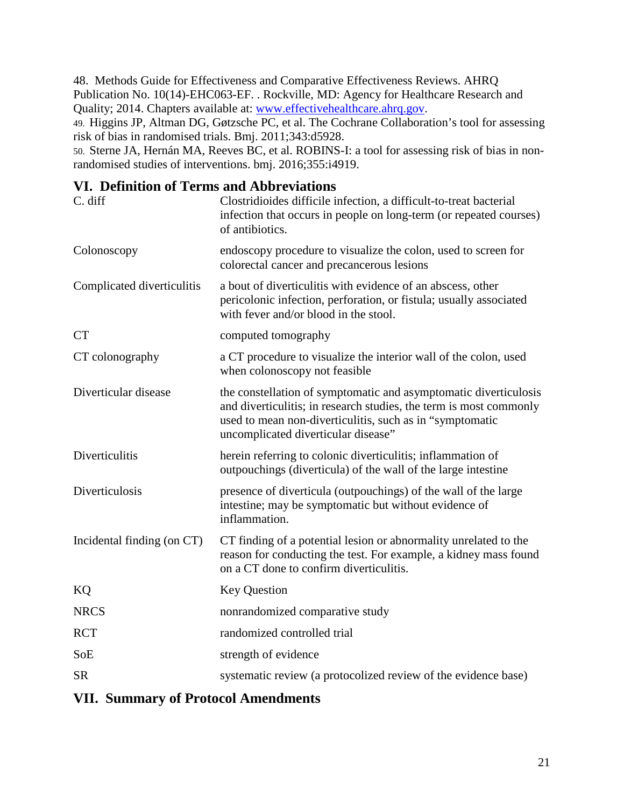48. Methods Guide for Effectiveness and Comparative Effectiveness Reviews. AHRQ Publication No. 10(14)-EHC063-EF. . Rockville, MD: Agency for Healthcare Research and Quality; 2014. Chapters available at: www.effectivehealthcare.ahrq.gov.

49. Higgins JP, Altman DG, Gøtzsche PC, et al. The Cochrane Collaboration's tool for assessing risk of bias in randomised trials. Bmj. 2011;343:d5928.

50. Sterne JA, Hernán MA, Reeves BC, et al. ROBINS-I: a tool for assessing risk of bias in nonrandomised studies of interventions. bmj. 2016;355:i4919.

# **VI. Definition of Terms and Abbreviations**

| C. diff                    | Clostridioides difficile infection, a difficult-to-treat bacterial<br>infection that occurs in people on long-term (or repeated courses)<br>of antibiotics.                                                                               |
|----------------------------|-------------------------------------------------------------------------------------------------------------------------------------------------------------------------------------------------------------------------------------------|
| Colonoscopy                | endoscopy procedure to visualize the colon, used to screen for<br>colorectal cancer and precancerous lesions                                                                                                                              |
| Complicated diverticulitis | a bout of diverticulitis with evidence of an abscess, other<br>pericolonic infection, perforation, or fistula; usually associated<br>with fever and/or blood in the stool.                                                                |
| <b>CT</b>                  | computed tomography                                                                                                                                                                                                                       |
| CT colonography            | a CT procedure to visualize the interior wall of the colon, used<br>when colonoscopy not feasible                                                                                                                                         |
| Diverticular disease       | the constellation of symptomatic and asymptomatic diverticulosis<br>and diverticulitis; in research studies, the term is most commonly<br>used to mean non-diverticulitis, such as in "symptomatic<br>uncomplicated diverticular disease" |
| Diverticulitis             | herein referring to colonic diverticulitis; inflammation of<br>outpouchings (diverticula) of the wall of the large intestine                                                                                                              |
| Diverticulosis             | presence of diverticula (outpouchings) of the wall of the large<br>intestine; may be symptomatic but without evidence of<br>inflammation.                                                                                                 |
| Incidental finding (on CT) | CT finding of a potential lesion or abnormality unrelated to the<br>reason for conducting the test. For example, a kidney mass found<br>on a CT done to confirm diverticulitis.                                                           |
| KQ                         | <b>Key Question</b>                                                                                                                                                                                                                       |
| <b>NRCS</b>                | nonrandomized comparative study                                                                                                                                                                                                           |
| <b>RCT</b>                 | randomized controlled trial                                                                                                                                                                                                               |
| SoE                        | strength of evidence                                                                                                                                                                                                                      |
| <b>SR</b>                  | systematic review (a protocolized review of the evidence base)                                                                                                                                                                            |

## **VII. Summary of Protocol Amendments**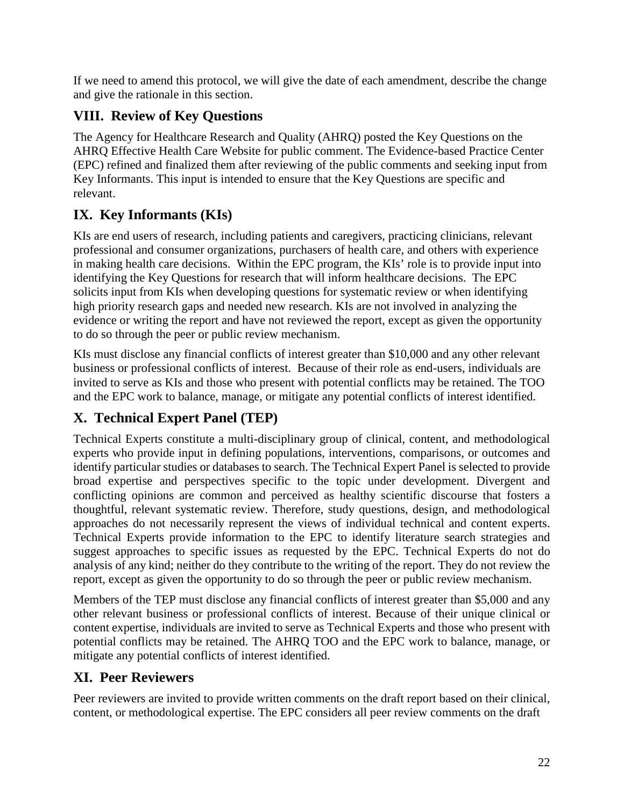If we need to amend this protocol, we will give the date of each amendment, describe the change and give the rationale in this section.

# **VIII. Review of Key Questions**

The Agency for Healthcare Research and Quality (AHRQ) posted the Key Questions on the AHRQ Effective Health Care Website for public comment. The Evidence-based Practice Center (EPC) refined and finalized them after reviewing of the public comments and seeking input from Key Informants. This input is intended to ensure that the Key Questions are specific and relevant.

# **IX. Key Informants (KIs)**

KIs are end users of research, including patients and caregivers, practicing clinicians, relevant professional and consumer organizations, purchasers of health care, and others with experience in making health care decisions. Within the EPC program, the KIs' role is to provide input into identifying the Key Questions for research that will inform healthcare decisions. The EPC solicits input from KIs when developing questions for systematic review or when identifying high priority research gaps and needed new research. KIs are not involved in analyzing the evidence or writing the report and have not reviewed the report, except as given the opportunity to do so through the peer or public review mechanism.

KIs must disclose any financial conflicts of interest greater than \$10,000 and any other relevant business or professional conflicts of interest. Because of their role as end-users, individuals are invited to serve as KIs and those who present with potential conflicts may be retained. The TOO and the EPC work to balance, manage, or mitigate any potential conflicts of interest identified.

# **X. Technical Expert Panel (TEP)**

Technical Experts constitute a multi-disciplinary group of clinical, content, and methodological experts who provide input in defining populations, interventions, comparisons, or outcomes and identify particular studies or databases to search. The Technical Expert Panel is selected to provide broad expertise and perspectives specific to the topic under development. Divergent and conflicting opinions are common and perceived as healthy scientific discourse that fosters a thoughtful, relevant systematic review. Therefore, study questions, design, and methodological approaches do not necessarily represent the views of individual technical and content experts. Technical Experts provide information to the EPC to identify literature search strategies and suggest approaches to specific issues as requested by the EPC. Technical Experts do not do analysis of any kind; neither do they contribute to the writing of the report. They do not review the report, except as given the opportunity to do so through the peer or public review mechanism.

Members of the TEP must disclose any financial conflicts of interest greater than \$5,000 and any other relevant business or professional conflicts of interest. Because of their unique clinical or content expertise, individuals are invited to serve as Technical Experts and those who present with potential conflicts may be retained. The AHRQ TOO and the EPC work to balance, manage, or mitigate any potential conflicts of interest identified.

# **XI. Peer Reviewers**

Peer reviewers are invited to provide written comments on the draft report based on their clinical, content, or methodological expertise. The EPC considers all peer review comments on the draft